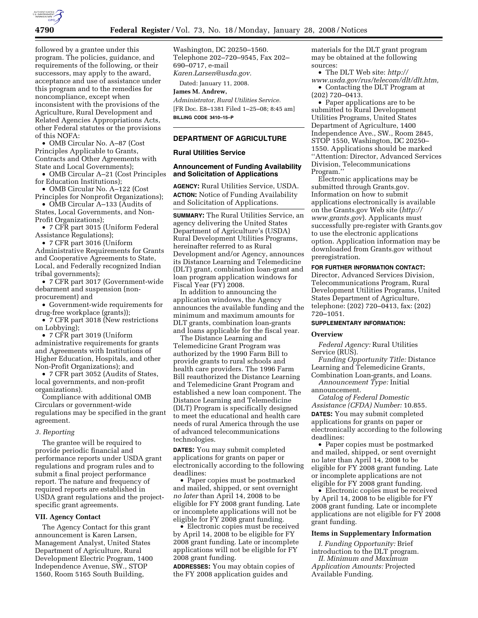

followed by a grantee under this program. The policies, guidance, and requirements of the following, or their successors, may apply to the award, acceptance and use of assistance under this program and to the remedies for noncompliance, except when inconsistent with the provisions of the Agriculture, Rural Development and Related Agencies Appropriations Acts, other Federal statutes or the provisions of this NOFA:

• OMB Circular No. A–87 (Cost Principles Applicable to Grants, Contracts and Other Agreements with State and Local Governments);

• OMB Circular A–21 (Cost Principles for Education Institutions);

• OMB Circular No. A–122 (Cost Principles for Nonprofit Organizations);

• OMB Circular A–133 (Audits of States, Local Governments, and Non-Profit Organizations);

• 7 CFR part 3015 (Uniform Federal Assistance Regulations);

• 7 CFR part 3016 (Uniform Administrative Requirements for Grants and Cooperative Agreements to State, Local, and Federally recognized Indian tribal governments);

• 7 CFR part 3017 (Government-wide debarment and suspension (nonprocurement) and

• Government-wide requirements for drug-free workplace (grants));

• 7 CFR part 3018 (New restrictions on Lobbying);

• 7 CFR part 3019 (Uniform administrative requirements for grants and Agreements with Institutions of Higher Education, Hospitals, and other Non-Profit Organizations); and

• 7 CFR part 3052 (Audits of States, local governments, and non-profit organizations).

Compliance with additional OMB Circulars or government-wide regulations may be specified in the grant agreement.

## *3. Reporting*

The grantee will be required to provide periodic financial and performance reports under USDA grant regulations and program rules and to submit a final project performance report. The nature and frequency of required reports are established in USDA grant regulations and the projectspecific grant agreements.

## **VII. Agency Contact**

The Agency Contact for this grant announcement is Karen Larsen, Management Analyst, United States Department of Agriculture, Rural Development Electric Program, 1400 Independence Avenue, SW., STOP 1560, Room 5165 South Building,

Washington, DC 20250–1560. Telephone 202–720–9545, Fax 202– 690–0717, e-mail *Karen.Larsen@usda.gov.* 

Dated: January 11, 2008.

# **James M. Andrew,**

*Administrator, Rural Utilities Service.*  [FR Doc. E8–1381 Filed 1–25–08; 8:45 am] **BILLING CODE 3410–15–P** 

# **DEPARTMENT OF AGRICULTURE**

### **Rural Utilities Service**

## **Announcement of Funding Availability and Solicitation of Applications**

**AGENCY:** Rural Utilities Service, USDA. **ACTION:** Notice of Funding Availability and Solicitation of Applications.

**SUMMARY:** The Rural Utilities Service, an agency delivering the United States Department of Agriculture's (USDA) Rural Development Utilities Programs, hereinafter referred to as Rural Development and/or Agency, announces its Distance Learning and Telemedicine (DLT) grant, combination loan-grant and loan program application windows for Fiscal Year (FY) 2008.

In addition to announcing the application windows, the Agency announces the available funding and the minimum and maximum amounts for DLT grants, combination loan-grants and loans applicable for the fiscal year.

The Distance Learning and Telemedicine Grant Program was authorized by the 1990 Farm Bill to provide grants to rural schools and health care providers. The 1996 Farm Bill reauthorized the Distance Learning and Telemedicine Grant Program and established a new loan component. The Distance Learning and Telemedicine (DLT) Program is specifically designed to meet the educational and health care needs of rural America through the use of advanced telecommunications technologies.

**DATES:** You may submit completed applications for grants on paper or electronically according to the following deadlines:

• Paper copies must be postmarked and mailed, shipped, or sent overnight *no later* than April 14, 2008 to be eligible for FY 2008 grant funding. Late or incomplete applications will not be eligible for FY 2008 grant funding.

• Electronic copies must be received by April 14, 2008 to be eligible for FY 2008 grant funding. Late or incomplete applications will not be eligible for FY 2008 grant funding.

**ADDRESSES:** You may obtain copies of the FY 2008 application guides and

materials for the DLT grant program may be obtained at the following sources:

• The DLT Web site: *http:// www.usda.gov/rus/telecom/dlt/dlt.htm,*  • Contacting the DLT Program at

(202) 720–0413. • Paper applications are to be

submitted to Rural Development Utilities Programs, United States Department of Agriculture, 1400 Independence Ave., SW., Room 2845, STOP 1550, Washington, DC 20250– 1550. Applications should be marked ''Attention: Director, Advanced Services Division, Telecommunications Program.''

Electronic applications may be submitted through Grants.gov. Information on how to submit applications electronically is available on the Grants.gov Web site (*http:// www.grants.gov*). Applicants must successfully pre-register with Grants.gov to use the electronic applications option. Application information may be downloaded from Grants.gov without preregistration.

## **FOR FURTHER INFORMATION CONTACT:**

Director, Advanced Services Division, Telecommunications Program, Rural Development Utilities Programs, United States Department of Agriculture, telephone: (202) 720–0413, fax: (202) 720–1051.

#### **SUPPLEMENTARY INFORMATION:**

#### **Overview**

*Federal Agency:* Rural Utilities Service (RUS).

*Funding Opportunity Title:* Distance Learning and Telemedicine Grants,

Combination Loan-grants, and Loans. *Announcement Type:* Initial

announcement.

*Catalog of Federal Domestic Assistance (CFDA) Number:* 10.855. **DATES:** You may submit completed applications for grants on paper or electronically according to the following deadlines:

• Paper copies must be postmarked and mailed, shipped, or sent overnight no later than April 14, 2008 to be eligible for FY 2008 grant funding. Late or incomplete applications are not eligible for FY 2008 grant funding.

• Electronic copies must be received by April 14, 2008 to be eligible for FY 2008 grant funding. Late or incomplete applications are not eligible for FY 2008 grant funding.

## **Items in Supplementary Information**

*I. Funding Opportunity:* Brief introduction to the DLT program.

*II. Minimum and Maximum Application Amounts:* Projected Available Funding.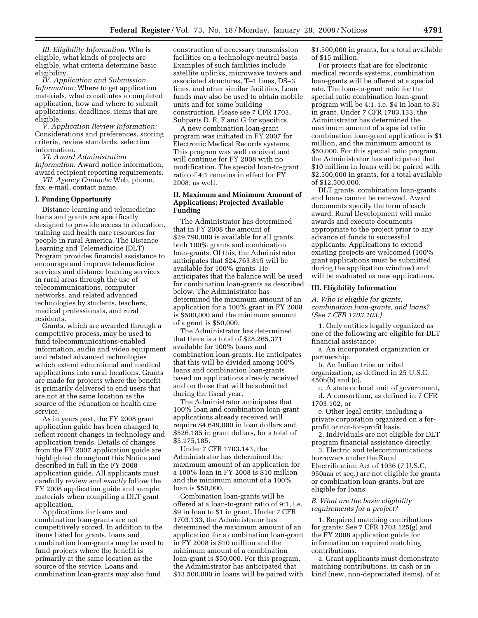*III. Eligibility Information:* Who is eligible, what kinds of projects are eligible, what criteria determine basic eligibility.

*IV. Application and Submission Information:* Where to get application materials, what constitutes a completed application, how and where to submit applications, deadlines, items that are eligible.

*V. Application Review Information:*  Considerations and preferences, scoring criteria, review standards, selection information.

*VI. Award Administration Information:* Award notice information, award recipient reporting requirements.

*VII. Agency Contacts:* Web, phone, fax, e-mail, contact name.

#### **I. Funding Opportunity**

Distance learning and telemedicine loans and grants are specifically designed to provide access to education, training and health care resources for people in rural America. The Distance Learning and Telemedicine (DLT) Program provides financial assistance to encourage and improve telemedicine services and distance learning services in rural areas through the use of telecommunications, computer networks, and related advanced technologies by students, teachers, medical professionals, and rural residents.

Grants, which are awarded through a competitive process, may be used to fund telecommunications-enabled information, audio and video equipment and related advanced technologies which extend educational and medical applications into rural locations. Grants are made for projects where the benefit is primarily delivered to end users that are not at the same location as the source of the education or health care service.

As in years past, the FY 2008 grant application guide has been changed to reflect recent changes in technology and application trends. Details of changes from the FY 2007 application guide are highlighted throughout this Notice and described in full in the FY 2008 application guide. All applicants must carefully review and *exactly* follow the FY 2008 application guide and sample materials when compiling a DLT grant application.

Applications for loans and combination loan-grants are not competitively scored. In addition to the items listed for grants, loans and combination loan-grants may be used to fund projects where the benefit is primarily at the same location as the source of the service. Loans and combination loan-grants may also fund

construction of necessary transmission facilities on a technology-neutral basis. Examples of such facilities include satellite uplinks, microwave towers and associated structures, T–1 lines, DS–3 lines, and other similar facilities. Loan funds may also be used to obtain mobile units and for some building construction. Please see 7 CFR 1703, Subparts D, E, F and G for specifics.

A new combination loan-grant program was initiated in FY 2007 for Electronic Medical Records systems. This program was well received and will continue for FY 2008 with no modification. The special loan-to-grant ratio of 4:1 remains in effect for FY 2008, as well.

## **II. Maximum and Minimum Amount of Applications; Projected Available Funding**

The Administrator has determined that in FY 2008 the amount of \$29,790,000 is available for all grants, both 100% grants and combination loan-grants. Of this, the Administrator anticipates that \$24,763,815 will be available for 100% grants. He anticipates that the balance will be used for combination loan-grants as described below. The Administrator has determined the maximum amount of an application for a 100% grant in FY 2008 is \$500,000 and the minimum amount of a grant is \$50,000.

The Administrator has determined that there is a total of \$28,265,371 available for 100% loans and combination loan-grants. He anticipates that this will be divided among 100% loans and combination loan-grants based on applications already received and on those that will be submitted during the fiscal year.

The Administrator anticipates that 100% loan and combination loan-grant applications already received will require \$4,649,000 in loan dollars and \$526,185 in grant dollars, for a total of \$5,175,185.

Under 7 CFR 1703.143, the Administrator has determined the maximum amount of an application for a 100% loan in FY 2008 is \$10 million and the minimum amount of a 100% loan is \$50,000.

Combination loan-grants will be offered at a loan-to-grant ratio of 9:1, i.e. \$9 in loan to \$1 in grant. Under 7 CFR 1703.133, the Administrator has determined the maximum amount of an application for a combination loan-grant in FY 2008 is \$10 million and the minimum amount of a combination loan-grant is \$50,000. For this program, the Administrator has anticipated that \$13,500,000 in loans will be paired with \$1,500,000 in grants, for a total available of \$15 million.

For projects that are for electronic medical records systems, combination loan-grants will be offered at a special rate. The loan-to-grant ratio for the special ratio combination loan-grant program will be 4:1, i.e. \$4 in loan to \$1 in grant. Under 7 CFR 1703.133, the Administrator has determined the maximum amount of a special ratio combination loan-grant application is \$1 million, and the minimum amount is \$50,000. For this special ratio program, the Administrator has anticipated that \$10 million in loans will be paired with \$2,500,000 in grants, for a total available of \$12,500,000.

DLT grants, combination loan-grants and loans cannot be renewed. Award documents specify the term of each award. Rural Development will make awards and execute documents appropriate to the project prior to any advance of funds to successful applicants. Applications to extend existing projects are welcomed (100% grant applications must be submitted during the application window) and will be evaluated as new applications.

## **III. Eligibility Information**

*A. Who is eligible for grants, combination loan-grants, and loans? (See 7 CFR 1703.103.)* 

1. Only entities legally organized as one of the following are eligible for DLT financial assistance:

a. An incorporated organization or partnership,

b. An Indian tribe or tribal organization, as defined in 25 U.S.C. 450b(b) and (c),

c. A state or local unit of government, d. A consortium, as defined in 7 CFR 1703.102, or

e. Other legal entity, including a private corporation organized on a forprofit or not-for-profit basis.

2. Individuals are not eligible for DLT program financial assistance directly.

3. Electric and telecommunications borrowers under the Rural Electrification Act of 1936 (7 U.S.C. 950aaa et seq.) are not eligible for grants or combination loan-grants, but are eligible for loans.

# *B. What are the basic eligibility requirements for a project?*

1. Required matching contributions for grants: See 7 CFR 1703.125(g) and the FY 2008 application guide for information on required matching contributions.

a. Grant applicants must demonstrate matching contributions, in cash or in kind (new, non-depreciated items), of at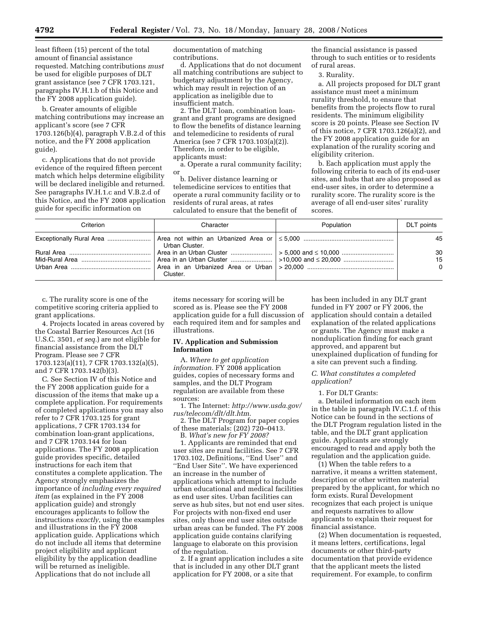least fifteen (15) percent of the total amount of financial assistance requested. Matching contributions *must*  be used for eligible purposes of DLT grant assistance (see 7 CFR 1703.121, paragraphs IV.H.1.b of this Notice and the FY 2008 application guide).

b. Greater amounts of eligible matching contributions may increase an applicant's score (see 7 CFR 1703.126(b)(4), paragraph V.B.2.d of this notice, and the FY 2008 application guide).

c. Applications that do not provide evidence of the required fifteen percent match which helps determine eligibility will be declared ineligible and returned. See paragraphs IV.H.1.c and V.B.2.d of this Notice, and the FY 2008 application guide for specific information on

documentation of matching contributions.

d. Applications that do not document all matching contributions are subject to budgetary adjustment by the Agency, which may result in rejection of an application as ineligible due to insufficient match.

2. The DLT loan, combination loangrant and grant programs are designed to flow the benefits of distance learning and telemedicine to residents of rural America (see 7 CFR 1703.103(a)(2)). Therefore, in order to be eligible, applicants must:

a. Operate a rural community facility; or

b. Deliver distance learning or telemedicine services to entities that operate a rural community facility or to residents of rural areas, at rates calculated to ensure that the benefit of

the financial assistance is passed through to such entities or to residents of rural areas.

3. Rurality.

a. All projects proposed for DLT grant assistance must meet a minimum rurality threshold, to ensure that benefits from the projects flow to rural residents. The minimum eligibility score is 20 points. Please see Section IV of this notice, 7 CFR 1703.126(a)(2), and the FY 2008 application guide for an explanation of the rurality scoring and eligibility criterion.

b. Each application must apply the following criteria to each of its end-user sites, and hubs that are also proposed as end-user sites, in order to determine a rurality score. The rurality score is the average of all end-user sites' rurality scores.

| Criterion | Character      | Population | DLT points           |
|-----------|----------------|------------|----------------------|
|           | Urban Cluster. |            | 45                   |
|           | Cluster.       |            | 30<br>15<br>$\Omega$ |

c. The rurality score is one of the competitive scoring criteria applied to grant applications.

4. Projects located in areas covered by the Coastal Barrier Resources Act (16 U.S.C. 3501, *et seq.*) are not eligible for financial assistance from the DLT Program. Please see 7 CFR 1703.123(a)(11), 7 CFR 1703.132(a)(5), and 7 CFR 1703.142(b)(3).

C. See Section IV of this Notice and the FY 2008 application guide for a discussion of the items that make up a complete application. For requirements of completed applications you may also refer to 7 CFR 1703.125 for grant applications, 7 CFR 1703.134 for combination loan-grant applications, and 7 CFR 1703.144 for loan applications. The FY 2008 application guide provides specific, detailed instructions for each item that constitutes a complete application. The Agency strongly emphasizes the importance of *including every required item* (as explained in the FY 2008 application guide) and strongly encourages applicants to follow the instructions *exactly*, using the examples and illustrations in the FY 2008 application guide. Applications which do not include all items that determine project eligibility and applicant eligibility by the application deadline will be returned as ineligible. Applications that do not include all

items necessary for scoring will be scored as is. Please see the FY 2008 application guide for a full discussion of each required item and for samples and illustrations.

## **IV. Application and Submission Information**

A. *Where to get application information.* FY 2008 application guides, copies of necessary forms and samples, and the DLT Program regulation are available from these sources:

1. The Internet: *http://www.usda.gov/ rus/telecom/dlt/dlt.htm*.

2. The DLT Program for paper copies of these materials: (202) 720–0413.

B. *What's new for FY 2008?* 

1. Applicants are reminded that end user sites are rural facilities. See 7 CFR 1703.102, Definitions, ''End User'' and ''End User Site''. We have experienced an increase in the number of applications which attempt to include urban educational and medical facilities as end user sites. Urban facilities can serve as hub sites, but not end user sites. For projects with non-fixed end user sites, only those end user sites outside urban areas can be funded. The FY 2008 application guide contains clarifying language to elaborate on this provision of the regulation.

2. If a grant application includes a site that is included in any other DLT grant application for FY 2008, or a site that

has been included in any DLT grant funded in FY 2007 or FY 2006, the application should contain a detailed explanation of the related applications or grants. The Agency must make a nonduplication finding for each grant approved, and apparent but unexplained duplication of funding for a site can prevent such a finding.

## *C. What constitutes a completed application?*

1. For DLT Grants:

a. Detailed information on each item in the table in paragraph IV.C.1.f. of this Notice can be found in the sections of the DLT Program regulation listed in the table, and the DLT grant application guide. Applicants are strongly encouraged to read and apply both the regulation and the application guide.

(1) When the table refers to a narrative, it means a written statement, description or other written material prepared by the applicant, for which no form exists. Rural Development recognizes that each project is unique and requests narratives to allow applicants to explain their request for financial assistance.

(2) When documentation is requested, it means letters, certifications, legal documents or other third-party documentation that provide evidence that the applicant meets the listed requirement. For example, to confirm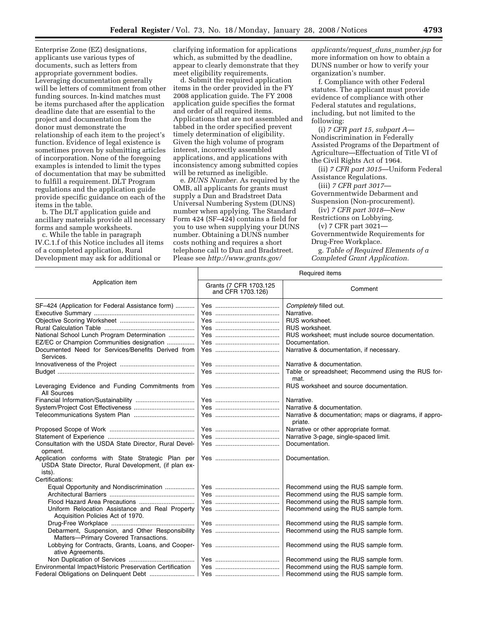Enterprise Zone (EZ) designations, applicants use various types of documents, such as letters from appropriate government bodies. Leveraging documentation generally will be letters of commitment from other funding sources. In-kind matches must be items purchased after the application deadline date that are essential to the project and documentation from the donor must demonstrate the relationship of each item to the project's function. Evidence of legal existence is sometimes proven by submitting articles of incorporation. None of the foregoing examples is intended to limit the types of documentation that may be submitted to fulfill a requirement. DLT Program regulations and the application guide provide specific guidance on each of the items in the table.

b. The DLT application guide and ancillary materials provide all necessary forms and sample worksheets.

c. While the table in paragraph IV.C.1.f of this Notice includes all items of a completed application, Rural Development may ask for additional or

clarifying information for applications which, as submitted by the deadline, appear to clearly demonstrate that they meet eligibility requirements.

d. Submit the required application items in the order provided in the FY 2008 application guide. The FY 2008 application guide specifies the format and order of all required items. Applications that are not assembled and tabbed in the order specified prevent timely determination of eligibility. Given the high volume of program interest, incorrectly assembled applications, and applications with inconsistency among submitted copies will be returned as ineligible.

e. *DUNS Number.* As required by the OMB, all applicants for grants must supply a Dun and Bradstreet Data Universal Numbering System (DUNS) number when applying. The Standard Form 424 (SF–424) contains a field for you to use when supplying your DUNS number. Obtaining a DUNS number costs nothing and requires a short telephone call to Dun and Bradstreet. Please see *http://www.grants.gov/* 

*applicants/request*\_*duns*\_*number.jsp* for more information on how to obtain a DUNS number or how to verify your organization's number.

f. Compliance with other Federal statutes. The applicant must provide evidence of compliance with other Federal statutes and regulations, including, but not limited to the following:

(i) *7 CFR part 15, subpart A*— Nondiscrimination in Federally Assisted Programs of the Department of Agriculture—Effectuation of Title VI of the Civil Rights Act of 1964.

(ii) *7 CFR part 3015*—Uniform Federal Assistance Regulations.

(iii) *7 CFR part 3017*— Governmentwide Debarment and

Suspension (Non-procurement).

(iv) *7 CFR part 3018*—New

Restrictions on Lobbying. (v) 7 CFR part 3021—

Governmentwide Requirements for

Drug-Free Workplace.

g. *Table of Required Elements of a Completed Grant Application.* 

|                                                                                                                      | Required items                              |                                                                   |  |
|----------------------------------------------------------------------------------------------------------------------|---------------------------------------------|-------------------------------------------------------------------|--|
| Application item                                                                                                     | Grants (7 CFR 1703.125<br>and CFR 1703.126) | Comment                                                           |  |
| SF-424 (Application for Federal Assistance form)                                                                     |                                             | Completely filled out.                                            |  |
|                                                                                                                      |                                             | Narrative.                                                        |  |
|                                                                                                                      |                                             | RUS worksheet.                                                    |  |
|                                                                                                                      |                                             | RUS worksheet.                                                    |  |
| National School Lunch Program Determination                                                                          |                                             | RUS worksheet; must include source documentation.                 |  |
| EZ/EC or Champion Communities designation                                                                            |                                             | Documentation.                                                    |  |
| Documented Need for Services/Benefits Derived from<br>Services.                                                      |                                             | Narrative & documentation, if necessary.                          |  |
|                                                                                                                      |                                             | Narrative & documentation.                                        |  |
|                                                                                                                      |                                             | Table or spreadsheet; Recommend using the RUS for-                |  |
|                                                                                                                      |                                             | mat.                                                              |  |
| Leveraging Evidence and Funding Commitments from<br>All Sources                                                      |                                             | RUS worksheet and source documentation.                           |  |
|                                                                                                                      |                                             | Narrative.                                                        |  |
|                                                                                                                      |                                             | Narrative & documentation.                                        |  |
|                                                                                                                      |                                             | Narrative & documentation; maps or diagrams, if appro-<br>priate. |  |
|                                                                                                                      |                                             | Narrative or other appropriate format.                            |  |
|                                                                                                                      |                                             | Narrative 3-page, single-spaced limit.                            |  |
| Consultation with the USDA State Director, Rural Devel-<br>opment.                                                   |                                             | Documentation.                                                    |  |
| Application conforms with State Strategic Plan per<br>USDA State Director, Rural Development, (if plan ex-<br>ists). |                                             | Documentation.                                                    |  |
| Certifications:                                                                                                      |                                             |                                                                   |  |
| Equal Opportunity and Nondiscrimination                                                                              |                                             | Recommend using the RUS sample form.                              |  |
|                                                                                                                      |                                             | Recommend using the RUS sample form.                              |  |
|                                                                                                                      |                                             | Recommend using the RUS sample form.                              |  |
| Uniform Relocation Assistance and Real Property<br>Acquisition Policies Act of 1970.                                 |                                             | Recommend using the RUS sample form.                              |  |
|                                                                                                                      |                                             | Recommend using the RUS sample form.                              |  |
| Debarment, Suspension, and Other Responsibility<br>Matters-Primary Covered Transactions.                             |                                             | Recommend using the RUS sample form.                              |  |
| Lobbying for Contracts, Grants, Loans, and Cooper-<br>ative Agreements.                                              | Yes ………………………………                            | Recommend using the RUS sample form.                              |  |
|                                                                                                                      |                                             | Recommend using the RUS sample form.                              |  |
| Environmental Impact/Historic Preservation Certification                                                             |                                             | Recommend using the RUS sample form.                              |  |
|                                                                                                                      |                                             | Recommend using the RUS sample form.                              |  |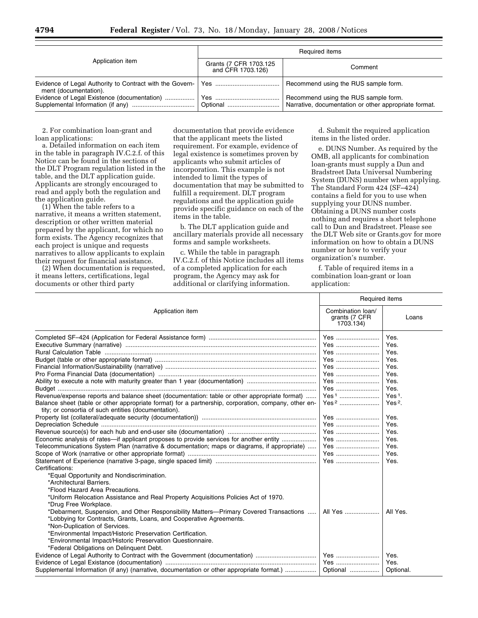|                       | Required items                              |                                                                                               |  |
|-----------------------|---------------------------------------------|-----------------------------------------------------------------------------------------------|--|
| Application item      | Grants (7 CFR 1703.125<br>and CFR 1703.126) | Comment                                                                                       |  |
| ment (documentation). |                                             | Recommend using the RUS sample form.                                                          |  |
|                       | Optional                                    | Recommend using the RUS sample form.<br>Narrative, documentation or other appropriate format. |  |

2. For combination loan-grant and loan applications:

a. Detailed information on each item in the table in paragraph IV.C.2.f. of this Notice can be found in the sections of the DLT Program regulation listed in the table, and the DLT application guide. Applicants are strongly encouraged to read and apply both the regulation and the application guide.

(1) When the table refers to a narrative, it means a written statement, description or other written material prepared by the applicant, for which no form exists. The Agency recognizes that each project is unique and requests narratives to allow applicants to explain their request for financial assistance.

(2) When documentation is requested, it means letters, certifications, legal documents or other third party

documentation that provide evidence that the applicant meets the listed requirement. For example, evidence of legal existence is sometimes proven by applicants who submit articles of incorporation. This example is not intended to limit the types of documentation that may be submitted to fulfill a requirement. DLT program regulations and the application guide provide specific guidance on each of the items in the table.

b. The DLT application guide and ancillary materials provide all necessary forms and sample worksheets.

c. While the table in paragraph IV.C.2.f. of this Notice includes all items of a completed application for each program, the Agency may ask for additional or clarifying information.

d. Submit the required application items in the listed order.

e. DUNS Number. As required by the OMB, all applicants for combination loan-grants must supply a Dun and Bradstreet Data Universal Numbering System (DUNS) number when applying. The Standard Form 424 (SF–424) contains a field for you to use when supplying your DUNS number. Obtaining a DUNS number costs nothing and requires a short telephone call to Dun and Bradstreet. Please see the DLT Web site or Grants.gov for more information on how to obtain a DUNS number or how to verify your organization's number.

f. Table of required items in a combination loan-grant or loan application:

|                                                                                                                                                              | Required items                                  |           |
|--------------------------------------------------------------------------------------------------------------------------------------------------------------|-------------------------------------------------|-----------|
| Application item                                                                                                                                             | Combination loan/<br>grants (7 CFR<br>1703.134) | Loans     |
|                                                                                                                                                              | Yes                                             | Yes.      |
|                                                                                                                                                              | Yes                                             | Yes.      |
|                                                                                                                                                              | Yes                                             | Yes.      |
|                                                                                                                                                              | Yes                                             | Yes.      |
|                                                                                                                                                              | Yes                                             | Yes.      |
|                                                                                                                                                              | Yes                                             | Yes.      |
|                                                                                                                                                              | Yes                                             | Yes.      |
|                                                                                                                                                              | Yes                                             | Yes.      |
| Revenue/expense reports and balance sheet (documentation: table or other appropriate format)                                                                 | Yes <sup>1</sup>                                | $Yes1$ .  |
| Balance sheet (table or other appropriate format) for a partnership, corporation, company, other en-<br>tity; or consortia of such entities (documentation). | Yes <sup>2</sup>                                | $Yes2$ .  |
|                                                                                                                                                              | Yes                                             | Yes.      |
|                                                                                                                                                              | Yes                                             | Yes.      |
|                                                                                                                                                              |                                                 | Yes.      |
| Economic analysis of rates—if applicant proposes to provide services for another entity                                                                      | Yes    Yes.                                     |           |
| Telecommunications System Plan (narrative & documentation; maps or diagrams, if appropriate)                                                                 | Yes                                             | Yes.      |
|                                                                                                                                                              | Yes                                             | Yes.      |
|                                                                                                                                                              | Yes                                             | Yes.      |
| Certifications:                                                                                                                                              |                                                 |           |
| *Equal Opportunity and Nondiscrimination.                                                                                                                    |                                                 |           |
| *Architectural Barriers.                                                                                                                                     |                                                 |           |
| *Flood Hazard Area Precautions.                                                                                                                              |                                                 |           |
| *Uniform Relocation Assistance and Real Property Acquisitions Policies Act of 1970.                                                                          |                                                 |           |
| *Drug Free Workplace.                                                                                                                                        |                                                 |           |
| *Debarment, Suspension, and Other Responsibility Matters—Primary Covered Transactions                                                                        | All Yes                                         | All Yes.  |
| *Lobbying for Contracts, Grants, Loans, and Cooperative Agreements.                                                                                          |                                                 |           |
| *Non-Duplication of Services.                                                                                                                                |                                                 |           |
| *Environmental Impact/Historic Preservation Certification.                                                                                                   |                                                 |           |
| *Environmental Impact/Historic Preservation Questionnaire.                                                                                                   |                                                 |           |
| *Federal Obligations on Delinquent Debt.                                                                                                                     |                                                 |           |
| Evidence of Legal Authority to Contract with the Government (documentation)                                                                                  | l Yes                                           | Yes.      |
|                                                                                                                                                              | Yes                                             | Yes.      |
| Supplemental Information (if any) (narrative, documentation or other appropriate format.)                                                                    | Optional                                        | Optional. |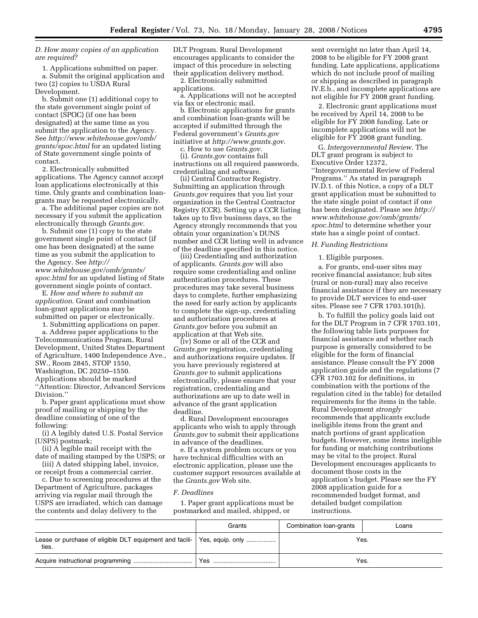*D. How many copies of an application are required?* 

1. Applications submitted on paper. a. Submit the original application and two (2) copies to USDA Rural Development.

b. Submit one (1) additional copy to the state government single point of contact (SPOC) (if one has been designated) at the same time as you submit the application to the Agency. See *http://www.whitehouse.gov/omb/ grants/spoc.html* for an updated listing of State government single points of contact.

2. Electronically submitted applications. The Agency cannot accept loan applications electronically at this time. Only grants and combination loangrants may be requested electronically.

a. The additional paper copies are not necessary if you submit the application electronically through *Grants.gov*.

b. Submit one (1) copy to the state government single point of contact (if one has been designated) at the same time as you submit the application to the Agency. See *http:// www.whitehouse.gov/omb/grants/ spoc.html* for an updated listing of State government single points of contact.

E. *How and where to submit an application*. Grant and combination loan-grant applications may be submitted on paper or electronically.

1. Submitting applications on paper.

a. Address paper applications to the Telecommunications Program, Rural Development, United States Department of Agriculture, 1400 Independence Ave., SW., Room 2845, STOP 1550, Washington, DC 20250–1550. Applications should be marked ''Attention: Director, Advanced Services Division.''

b. Paper grant applications must show proof of mailing or shipping by the deadline consisting of one of the following:

(i) A legibly dated U.S. Postal Service (USPS) postmark;

(ii) A legible mail receipt with the date of mailing stamped by the USPS; or

(iii) A dated shipping label, invoice, or receipt from a commercial carrier.

c. Due to screening procedures at the Department of Agriculture, packages arriving via regular mail through the USPS are irradiated, which can damage the contents and delay delivery to the

DLT Program. Rural Development encourages applicants to consider the impact of this procedure in selecting their application delivery method.

2. Electronically submitted applications.

a. Applications will not be accepted via fax or electronic mail.

b. Electronic applications for grants and combination loan-grants will be accepted if submitted through the Federal government's *Grants.gov*  initiative at *http://www.grants.gov*.

c. How to use *Grants.gov*.

(i). *Grants.gov* contains full instructions on all required passwords, credentialing and software.

(ii) Central Contractor Registry. Submitting an application through *Grants.gov* requires that you list your organization in the Central Contractor Registry (CCR). Setting up a CCR listing takes up to five business days, so the Agency strongly recommends that you obtain your organization's DUNS number and CCR listing well in advance of the deadline specified in this notice.

(iii) Credentialing and authorization of applicants. *Grants.gov* will also require some credentialing and online authentication procedures. These procedures may take several business days to complete, further emphasizing the need for early action by applicants to complete the sign-up, credentialing and authorization procedures at *Grants.gov* before you submit an application at that Web site.

(iv) Some or all of the CCR and *Grants.gov* registration, credentialing and authorizations require updates. If you have previously registered at *Grants.gov* to submit applications electronically, please ensure that your registration, credentialing and authorizations are up to date well in advance of the grant application deadline.

d. Rural Development encourages applicants who wish to apply through *Grants.gov* to submit their applications in advance of the deadlines.

e. If a system problem occurs or you have technical difficulties with an electronic application, please use the customer support resources available at the *Grants.gov* Web site.

#### *F. Deadlines*

1. Paper grant applications must be postmarked and mailed, shipped, or

sent overnight no later than April 14, 2008 to be eligible for FY 2008 grant funding. Late applications, applications which do not include proof of mailing or shipping as described in paragraph IV.E.b., and incomplete applications are not eligible for FY 2008 grant funding.

2. Electronic grant applications must be received by April 14, 2008 to be eligible for FY 2008 funding. Late or incomplete applications will not be eligible for FY 2008 grant funding.

G. *Intergovernmental Review*. The DLT grant program is subject to Executive Order 12372, ''Intergovernmental Review of Federal Programs.'' As stated in paragraph IV.D.1. of this Notice, a copy of a DLT grant application must be submitted to the state single point of contact if one has been designated. Please see *http:// www.whitehouse.gov/omb/grants/ spoc.html* to determine whether your state has a single point of contact.

# *H. Funding Restrictions*

1. Eligible purposes.

a. For grants, end-user sites may receive financial assistance; hub sites (rural or non-rural) may also receive financial assistance if they are necessary to provide DLT services to end-user sites. Please see 7 CFR 1703.101(h).

b. To fulfill the policy goals laid out for the DLT Program in 7 CFR 1703.101, the following table lists purposes for financial assistance and whether each purpose is generally considered to be eligible for the form of financial assistance. Please consult the FY 2008 application guide and the regulations (7 CFR 1703.102 for definitions, in combination with the portions of the regulation cited in the table) for detailed requirements for the items in the table. Rural Development *strongly*  recommends that applicants exclude ineligible items from the grant and match portions of grant application budgets. However, some items ineligible for funding or matching contributions may be vital to the project. Rural Development encourages applicants to document those costs in the application's budget. Please see the FY 2008 application guide for a recommended budget format, and detailed budget compilation instructions.

|                                                                                     | Grants | Combination loan-grants | Loans |
|-------------------------------------------------------------------------------------|--------|-------------------------|-------|
| Lease or purchase of eligible DLT equipment and facili-   Yes, equip. only<br>ties. |        | Yes.                    |       |
|                                                                                     | Yes    | Yes.                    |       |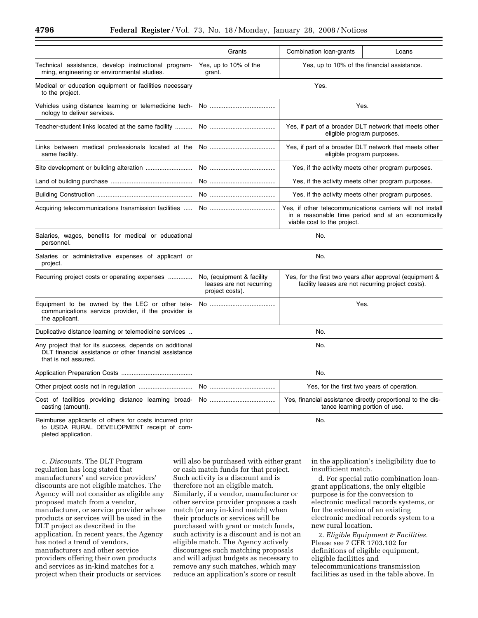|                                                                                                                                           | Grants                                                                   | Combination loan-grants                                                                                                                         | Loans |
|-------------------------------------------------------------------------------------------------------------------------------------------|--------------------------------------------------------------------------|-------------------------------------------------------------------------------------------------------------------------------------------------|-------|
| Technical assistance, develop instructional program-<br>ming, engineering or environmental studies.                                       | Yes, up to 10% of the<br>grant.                                          | Yes, up to 10% of the financial assistance.                                                                                                     |       |
| Medical or education equipment or facilities necessary<br>to the project.                                                                 | Yes.                                                                     |                                                                                                                                                 |       |
| Vehicles using distance learning or telemedicine tech-<br>nology to deliver services.                                                     | Yes.                                                                     |                                                                                                                                                 |       |
| Teacher-student links located at the same facility                                                                                        |                                                                          | Yes, if part of a broader DLT network that meets other<br>eligible program purposes.                                                            |       |
| Links between medical professionals located at the<br>same facility.                                                                      |                                                                          | Yes, if part of a broader DLT network that meets other<br>eligible program purposes.                                                            |       |
|                                                                                                                                           |                                                                          | Yes, if the activity meets other program purposes.                                                                                              |       |
|                                                                                                                                           |                                                                          | Yes, if the activity meets other program purposes.                                                                                              |       |
|                                                                                                                                           |                                                                          | Yes, if the activity meets other program purposes.                                                                                              |       |
| Acquiring telecommunications transmission facilities                                                                                      |                                                                          | Yes, if other telecommunications carriers will not install<br>in a reasonable time period and at an economically<br>viable cost to the project. |       |
| Salaries, wages, benefits for medical or educational<br>personnel.                                                                        | No.                                                                      |                                                                                                                                                 |       |
| Salaries or administrative expenses of applicant or<br>project.                                                                           | No.                                                                      |                                                                                                                                                 |       |
| Recurring project costs or operating expenses                                                                                             | No, (equipment & facility<br>leases are not recurring<br>project costs). | Yes, for the first two years after approval (equipment &<br>facility leases are not recurring project costs).                                   |       |
| Equipment to be owned by the LEC or other tele-<br>communications service provider, if the provider is<br>the applicant.                  |                                                                          | Yes.                                                                                                                                            |       |
| Duplicative distance learning or telemedicine services                                                                                    | No.                                                                      |                                                                                                                                                 |       |
| Any project that for its success, depends on additional<br>DLT financial assistance or other financial assistance<br>that is not assured. | No.                                                                      |                                                                                                                                                 |       |
|                                                                                                                                           | No.                                                                      |                                                                                                                                                 |       |
|                                                                                                                                           |                                                                          | Yes, for the first two years of operation.                                                                                                      |       |
| Cost of facilities providing distance learning broad-<br>casting (amount).                                                                |                                                                          | Yes, financial assistance directly proportional to the dis-<br>tance learning portion of use.                                                   |       |
| Reimburse applicants of others for costs incurred prior<br>to USDA RURAL DEVELOPMENT receipt of com-<br>pleted application.               | No.                                                                      |                                                                                                                                                 |       |

c. *Discounts.* The DLT Program regulation has long stated that manufacturers' and service providers' discounts are not eligible matches. The Agency will not consider as eligible any proposed match from a vendor, manufacturer, or service provider whose products or services will be used in the DLT project as described in the application. In recent years, the Agency has noted a trend of vendors, manufacturers and other service providers offering their own products and services as in-kind matches for a project when their products or services

will also be purchased with either grant or cash match funds for that project. Such activity is a discount and is therefore not an eligible match. Similarly, if a vendor, manufacturer or other service provider proposes a cash match (or any in-kind match) when their products or services will be purchased with grant or match funds, such activity is a discount and is not an eligible match. The Agency actively discourages such matching proposals and will adjust budgets as necessary to remove any such matches, which may reduce an application's score or result

in the application's ineligibility due to insufficient match.

d. For special ratio combination loangrant applications, the only eligible purpose is for the conversion to electronic medical records systems, or for the extension of an existing electronic medical records system to a new rural location.

2. *Eligible Equipment & Facilities.*  Please see 7 CFR 1703.102 for definitions of eligible equipment, eligible facilities and telecommunications transmission facilities as used in the table above. In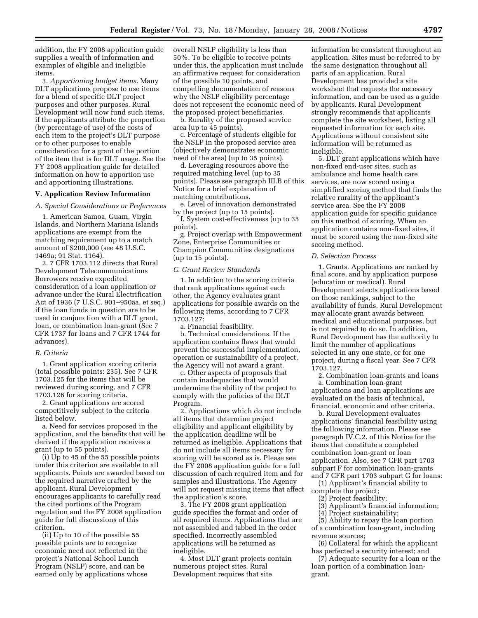addition, the FY 2008 application guide supplies a wealth of information and examples of eligible and ineligible items.

3. *Apportioning budget items.* Many DLT applications propose to use items for a blend of specific DLT project purposes and other purposes. Rural Development will now fund such items, if the applicants attribute the proportion (by percentage of use) of the costs of each item to the project's DLT purpose or to other purposes to enable consideration for a grant of the portion of the item that is for DLT usage. See the FY 2008 application guide for detailed information on how to apportion use and apportioning illustrations.

#### **V. Application Review Information**

*A. Special Considerations or Preferences* 

1. American Samoa, Guam, Virgin Islands, and Northern Mariana Islands applications are exempt from the matching requirement up to a match amount of \$200,000 (see 48 U.S.C. 1469a; 91 Stat. 1164).

2. 7 CFR 1703.112 directs that Rural Development Telecommunications Borrowers receive expedited consideration of a loan application or advance under the Rural Electrification Act of 1936 (7 U.S.C. 901–950aa, et seq.) if the loan funds in question are to be used in conjunction with a DLT grant, loan, or combination loan-grant (See 7 CFR 1737 for loans and 7 CFR 1744 for advances).

## *B. Criteria*

1. Grant application scoring criteria (total possible points: 235). See 7 CFR 1703.125 for the items that will be reviewed during scoring, and 7 CFR 1703.126 for scoring criteria.

2. Grant applications are scored competitively subject to the criteria listed below.

a. Need for services proposed in the application, and the benefits that will be derived if the application receives a grant (up to 55 points).

(i) Up to 45 of the 55 possible points under this criterion are available to all applicants. Points are awarded based on the required narrative crafted by the applicant. Rural Development encourages applicants to carefully read the cited portions of the Program regulation and the FY 2008 application guide for full discussions of this criterion.

(ii) Up to 10 of the possible 55 possible points are to recognize economic need not reflected in the project's National School Lunch Program (NSLP) score, and can be earned only by applications whose overall NSLP eligibility is less than 50%. To be eligible to receive points under this, the application must include an affirmative request for consideration of the possible 10 points, and compelling documentation of reasons why the NSLP eligibility percentage does not represent the economic need of the proposed project beneficiaries.

b. Rurality of the proposed service area (up to 45 points).

c. Percentage of students eligible for the NSLP in the proposed service area (objectively demonstrates economic need of the area) (up to 35 points).

d. Leveraging resources above the required matching level (up to 35 points). Please see paragraph III.B of this Notice for a brief explanation of matching contributions.

e. Level of innovation demonstrated by the project (up to 15 points).

f. System cost-effectiveness (up to 35 points).

g. Project overlap with Empowerment Zone, Enterprise Communities or Champion Communities designations (up to 15 points).

#### *C. Grant Review Standards*

1. In addition to the scoring criteria that rank applications against each other, the Agency evaluates grant applications for possible awards on the following items, according to 7 CFR 1703.127:

a. Financial feasibility.

b. Technical considerations. If the application contains flaws that would prevent the successful implementation, operation or sustainability of a project, the Agency will not award a grant.

c. Other aspects of proposals that contain inadequacies that would undermine the ability of the project to comply with the policies of the DLT Program.

2. Applications which do not include all items that determine project eligibility and applicant eligibility by the application deadline will be returned as ineligible. Applications that do not include all items necessary for scoring will be scored as is. Please see the FY 2008 application guide for a full discussion of each required item and for samples and illustrations. The Agency will not request missing items that affect the application's score.

3. The FY 2008 grant application guide specifies the format and order of all required items. Applications that are not assembled and tabbed in the order specified. Incorrectly assembled applications will be returned as ineligible.

4. Most DLT grant projects contain numerous project sites. Rural Development requires that site

information be consistent throughout an application. Sites must be referred to by the same designation throughout all parts of an application. Rural Development has provided a site worksheet that requests the necessary information, and can be used as a guide by applicants. Rural Development strongly recommends that applicants complete the site worksheet, listing all requested information for each site. Applications without consistent site information will be returned as ineligible.

5. DLT grant applications which have non-fixed end-user sites, such as ambulance and home health care services, are now scored using a simplified scoring method that finds the relative rurality of the applicant's service area. See the FY 2008 application guide for specific guidance on this method of scoring. When an application contains non-fixed sites, it must be scored using the non-fixed site scoring method.

## *D. Selection Process*

1. Grants. Applications are ranked by final score, and by application purpose (education or medical). Rural Development selects applications based on those rankings, subject to the availability of funds. Rural Development may allocate grant awards between medical and educational purposes, but is not required to do so. In addition, Rural Development has the authority to limit the number of applications selected in any one state, or for one project, during a fiscal year. See 7 CFR 1703.127.

2. Combination loan-grants and loans a. Combination loan-grant applications and loan applications are evaluated on the basis of technical, financial, economic and other criteria.

b. Rural Development evaluates applications' financial feasibility using the following information. Please see paragraph IV.C.2. of this Notice for the items that constitute a completed combination loan-grant or loan application. Also, see 7 CFR part 1703 subpart F for combination loan-grants and 7 CFR part 1703 subpart G for loans:

(1) Applicant's financial ability to complete the project;

(2) Project feasibility;

(3) Applicant's financial information;

(4) Project sustainability;

(5) Ability to repay the loan portion of a combination loan-grant, including revenue sources;

(6) Collateral for which the applicant has perfected a security interest; and

(7) Adequate security for a loan or the loan portion of a combination loangrant.